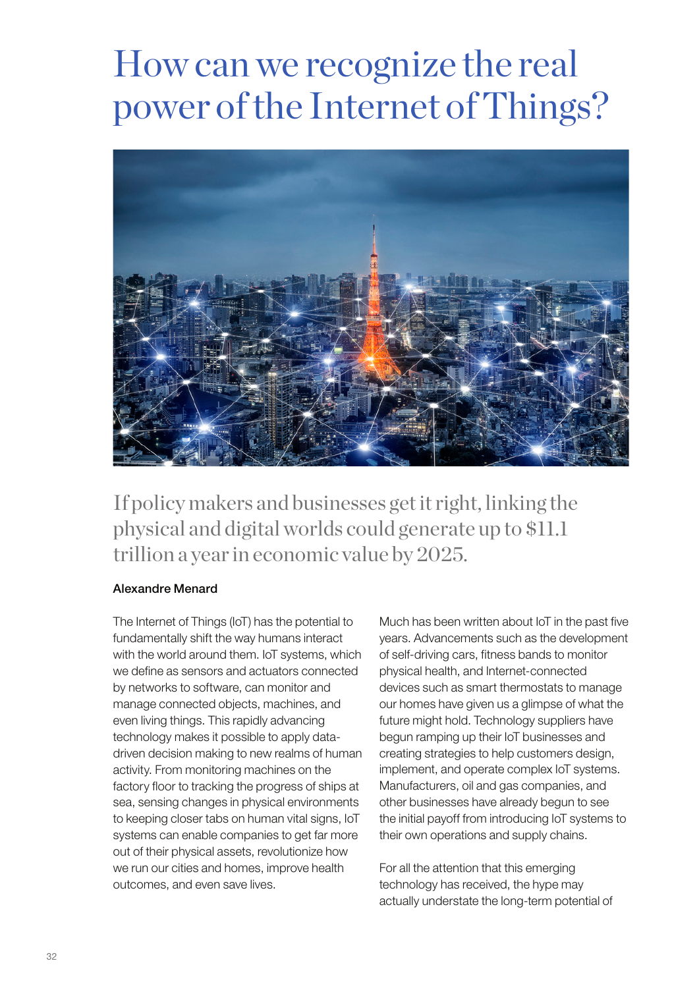# How can we recognize the real power of the Internet of Things?



If policy makers and businesses get it right, linking the physical and digital worlds could generate up to \$11.1 trillion a year in economic value by 2025.

### Alexandre Menard

The Internet of Things (IoT) has the potential to fundamentally shift the way humans interact with the world around them. IoT systems, which we define as sensors and actuators connected by networks to software, can monitor and manage connected objects, machines, and even living things. This rapidly advancing technology makes it possible to apply datadriven decision making to new realms of human activity. From monitoring machines on the factory floor to tracking the progress of ships at sea, sensing changes in physical environments to keeping closer tabs on human vital signs, IoT systems can enable companies to get far more out of their physical assets, revolutionize how we run our cities and homes, improve health outcomes, and even save lives.

Much has been written about IoT in the past five years. Advancements such as the development of self-driving cars, fitness bands to monitor physical health, and Internet-connected devices such as smart thermostats to manage our homes have given us a glimpse of what the future might hold. Technology suppliers have begun ramping up their IoT businesses and creating strategies to help customers design, implement, and operate complex IoT systems. Manufacturers, oil and gas companies, and other businesses have already begun to see the initial payoff from introducing IoT systems to their own operations and supply chains.

For all the attention that this emerging technology has received, the hype may actually understate the long-term potential of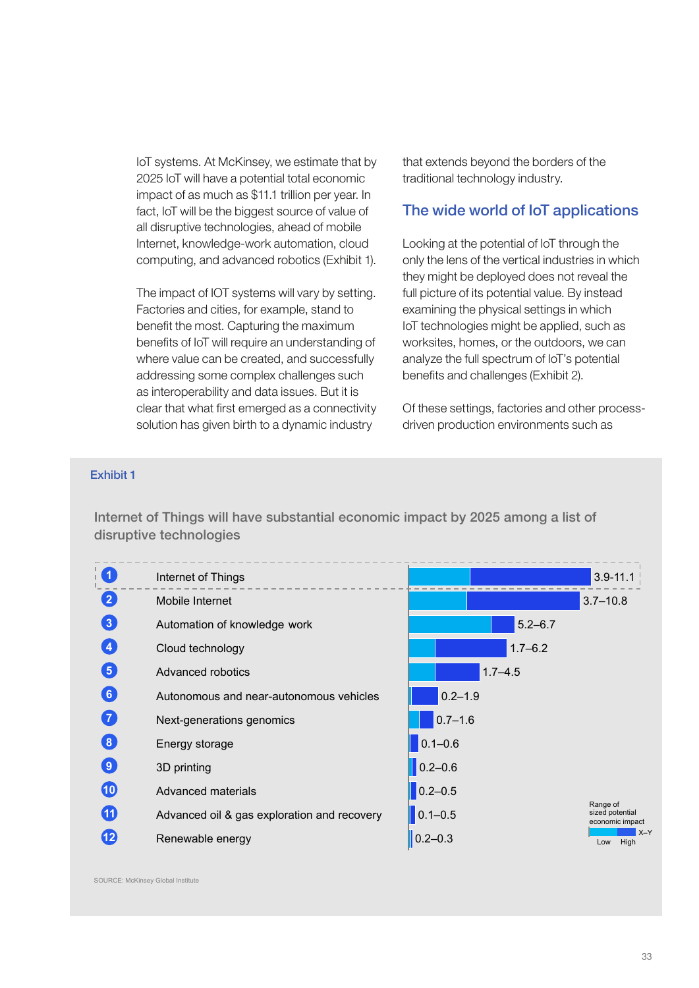IoT systems. At McKinsey, we estimate that by 2025 IoT will have a potential total economic impact of as much as \$11.1 trillion per year. In fact, IoT will be the biggest source of value of all disruptive technologies, ahead of mobile Internet, knowledge-work automation, cloud computing, and advanced robotics (Exhibit 1).

The impact of IOT systems will vary by setting. Factories and cities, for example, stand to benefit the most. Capturing the maximum benefits of IoT will require an understanding of where value can be created, and successfully addressing some complex challenges such as interoperability and data issues. But it is clear that what first emerged as a connectivity solution has given birth to a dynamic industry

that extends beyond the borders of the traditional technology industry.

#### The wide world of IoT applications

Looking at the potential of IoT through the only the lens of the vertical industries in which they might be deployed does not reveal the full picture of its potential value. By instead examining the physical settings in which IoT technologies might be applied, such as worksites, homes, or the outdoors, we can analyze the full spectrum of IoT's potential benefits and challenges (Exhibit 2).

Of these settings, factories and other processdriven production environments such as

#### Exhibit 1 **Competence To Compete 1**

Internet of Things will have substantial economic impact by 2025 among a list of disruptive technologies



SOURCE: McKinsey Global Institute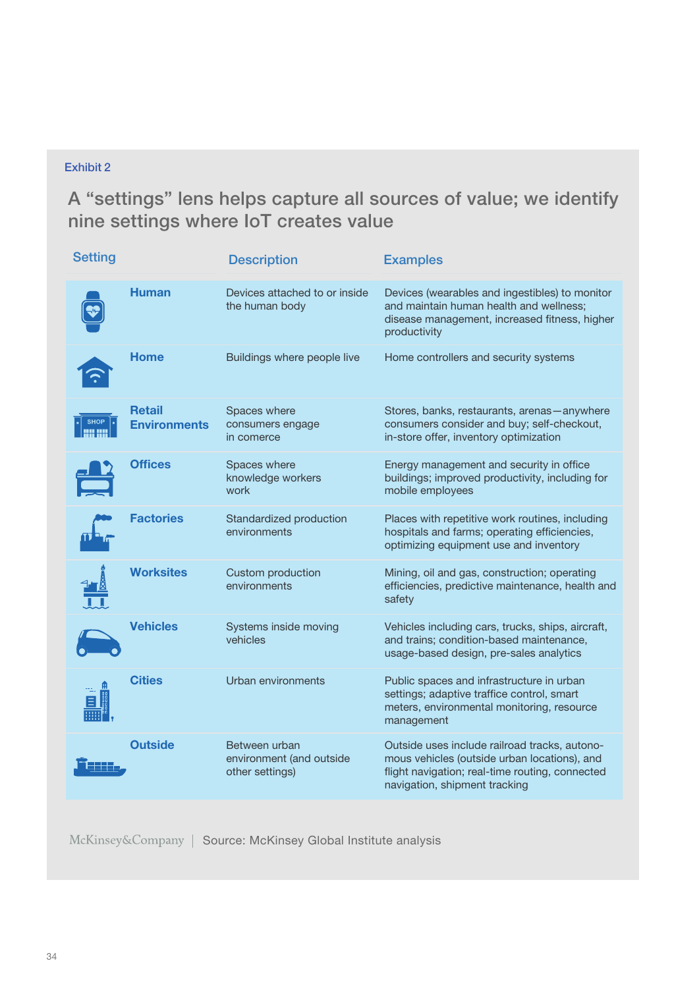## Exhibit 2

A "settings" lens helps capture all sources of value; we identify nine settings where IoT creates value

| <b>Setting</b> |                                      | <b>Description</b>                                           | <b>Examples</b>                                                                                                                                                                   |
|----------------|--------------------------------------|--------------------------------------------------------------|-----------------------------------------------------------------------------------------------------------------------------------------------------------------------------------|
|                | <b>Human</b>                         | Devices attached to or inside<br>the human body              | Devices (wearables and ingestibles) to monitor<br>and maintain human health and wellness;<br>disease management, increased fitness, higher<br>productivity                        |
|                | <b>Home</b>                          | Buildings where people live                                  | Home controllers and security systems                                                                                                                                             |
|                | <b>Retail</b><br><b>Environments</b> | Spaces where<br>consumers engage<br>in comerce               | Stores, banks, restaurants, arenas - anywhere<br>consumers consider and buy; self-checkout,<br>in-store offer, inventory optimization                                             |
|                | <b>Offices</b>                       | Spaces where<br>knowledge workers<br>work                    | Energy management and security in office<br>buildings; improved productivity, including for<br>mobile employees                                                                   |
|                | <b>Factories</b>                     | Standardized production<br>environments                      | Places with repetitive work routines, including<br>hospitals and farms; operating efficiencies,<br>optimizing equipment use and inventory                                         |
|                | <b>Worksites</b>                     | Custom production<br>environments                            | Mining, oil and gas, construction; operating<br>efficiencies, predictive maintenance, health and<br>safety                                                                        |
|                | <b>Vehicles</b>                      | Systems inside moving<br>vehicles                            | Vehicles including cars, trucks, ships, aircraft,<br>and trains; condition-based maintenance,<br>usage-based design, pre-sales analytics                                          |
|                | <b>Cities</b>                        | Urban environments                                           | Public spaces and infrastructure in urban<br>settings; adaptive traffice control, smart<br>meters, environmental monitoring, resource<br>management                               |
|                | <b>Outside</b>                       | Between urban<br>environment (and outside<br>other settings) | Outside uses include railroad tracks, autono-<br>mous vehicles (outside urban locations), and<br>flight navigation; real-time routing, connected<br>navigation, shipment tracking |

McKinsey&Company | Source: McKinsey Global Institute analysis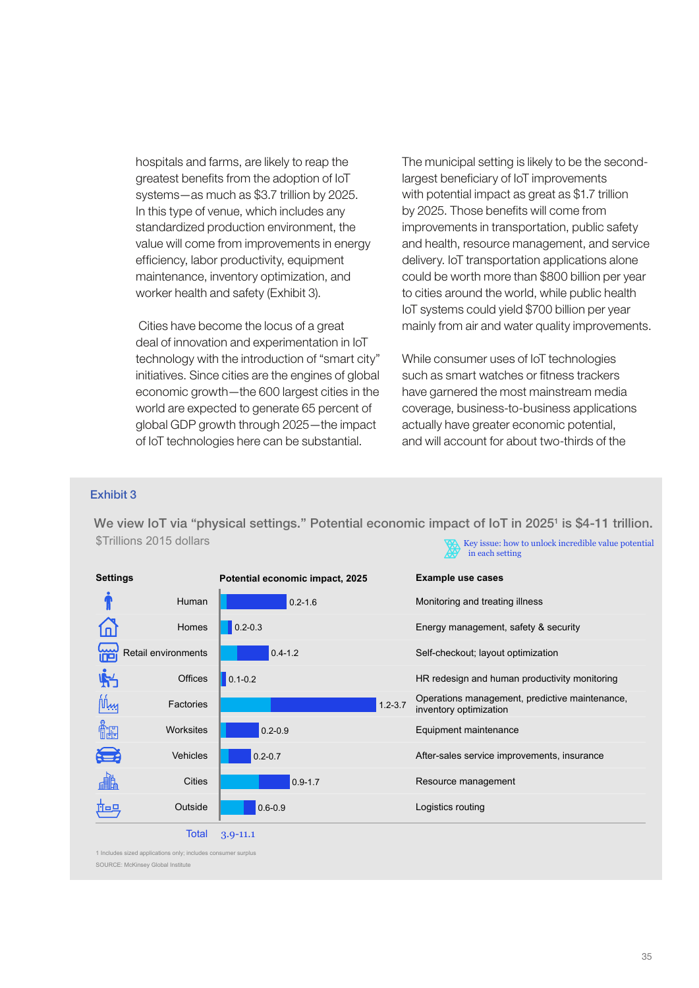hospitals and farms, are likely to reap the greatest benefits from the adoption of IoT systems—as much as \$3.7 trillion by 2025. In this type of venue, which includes any standardized production environment, the value will come from improvements in energy efficiency, labor productivity, equipment maintenance, inventory optimization, and worker health and safety (Exhibit 3).

 Cities have become the locus of a great deal of innovation and experimentation in IoT technology with the introduction of "smart city" initiatives. Since cities are the engines of global economic growth—the 600 largest cities in the world are expected to generate 65 percent of global GDP growth through 2025—the impact of IoT technologies here can be substantial.

The municipal setting is likely to be the secondlargest beneficiary of IoT improvements with potential impact as great as \$1.7 trillion by 2025. Those benefits will come from improvements in transportation, public safety and health, resource management, and service delivery. IoT transportation applications alone could be worth more than \$800 billion per year to cities around the world, while public health IoT systems could yield \$700 billion per year mainly from air and water quality improvements.

While consumer uses of IoT technologies such as smart watches or fitness trackers have garnered the most mainstream media coverage, business-to-business applications actually have greater economic potential, and will account for about two-thirds of the

#### Exhibit 3 OVERVIEW OF IOT 2017 Compendium - Where To Compete  $ext{Hint}$

\$Trillions 2015 dollars We view IoT via "physical settings." Potential economic impact of IoT in 2025<sup>1</sup> is \$4-11 trillion. Key issue: how to unlock incredible value potential in each setting

| <b>Settings</b> |                     | Potential economic impact, 2025 | <b>Example use cases</b>                                                 |
|-----------------|---------------------|---------------------------------|--------------------------------------------------------------------------|
|                 | Human               | $0.2 - 1.6$                     | Monitoring and treating illness                                          |
| Lп              | Homes               | $0.2 - 0.3$                     | Energy management, safety & security                                     |
| 崰               | Retail environments | $0.4 - 1.2$                     | Self-checkout; layout optimization                                       |
| $\mathbb{R}^l$  | Offices             | $0.1 - 0.2$                     | HR redesign and human productivity monitoring                            |
| <u> ۱۸ س</u> ا  | Factories           | $1.2 - 3.7$                     | Operations management, predictive maintenance,<br>inventory optimization |
| Ô₩              | <b>Worksites</b>    | $0.2 - 0.9$                     | Equipment maintenance                                                    |
| Œ               | <b>Vehicles</b>     | $0.2 - 0.7$                     | After-sales service improvements, insurance                              |
| 畵               | Cities              | $0.9 - 1.7$                     | Resource management                                                      |
| Ñog             | Outside             | $0.6 - 0.9$                     | Logistics routing                                                        |
|                 | <b>Total</b>        | $3.9 - 11.1$                    |                                                                          |

1 Includes sized applications only; includes consumer surplus SOURCE: McKinsey Global Institute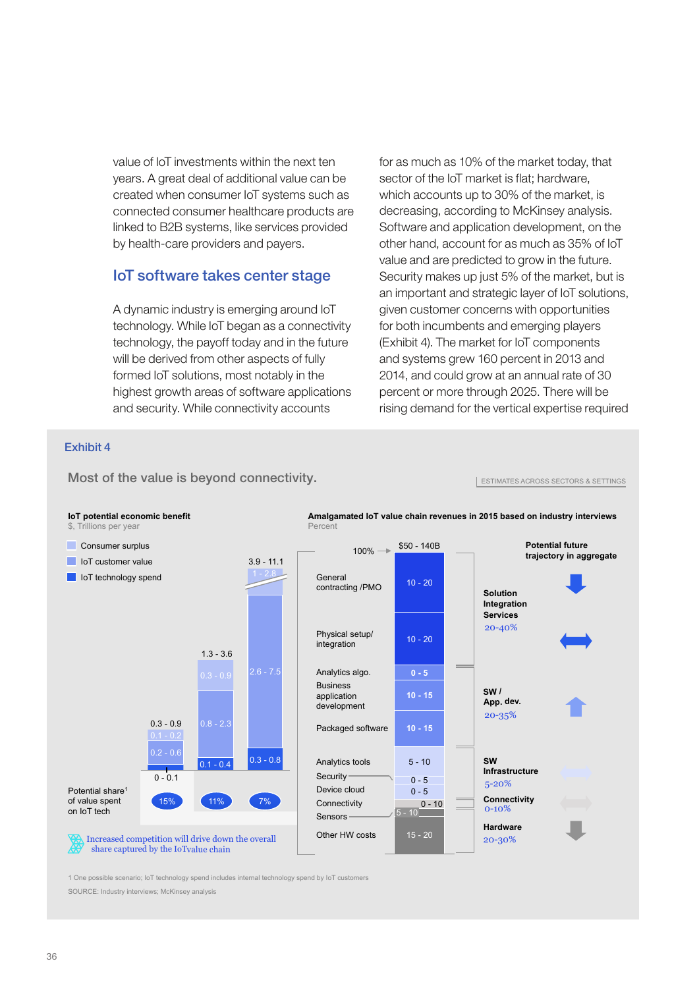value of IoT investments within the next ten years. A great deal of additional value can be created when consumer IoT systems such as connected consumer healthcare products are linked to B2B systems, like services provided by health-care providers and payers.

## IoT software takes center stage

A dynamic industry is emerging around IoT technology. While IoT began as a connectivity technology, the payoff today and in the future will be derived from other aspects of fully formed IoT solutions, most notably in the highest growth areas of software applications and security. While connectivity accounts

for as much as 10% of the market today, that sector of the IoT market is flat; hardware, which accounts up to 30% of the market, is decreasing, according to McKinsey analysis. Software and application development, on the other hand, account for as much as 35% of IoT value and are predicted to grow in the future. Security makes up just 5% of the market, but is an important and strategic layer of IoT solutions, given customer concerns with opportunities for both incumbents and emerging players (Exhibit 4). The market for IoT components and systems grew 160 percent in 2013 and 2014, and could grow at an annual rate of 30 percent or more through 2025. There will be rising demand for the vertical expertise required

ESTIMATES ACROSS SECTORS & SETTINGS

#### Exhibit 4



Most of the value is beyond connectivity.

1 One possible scenario; IoT technology spend includes internal technology spend by IoT customers

SOURCE: Industry interviews; McKinsey analysis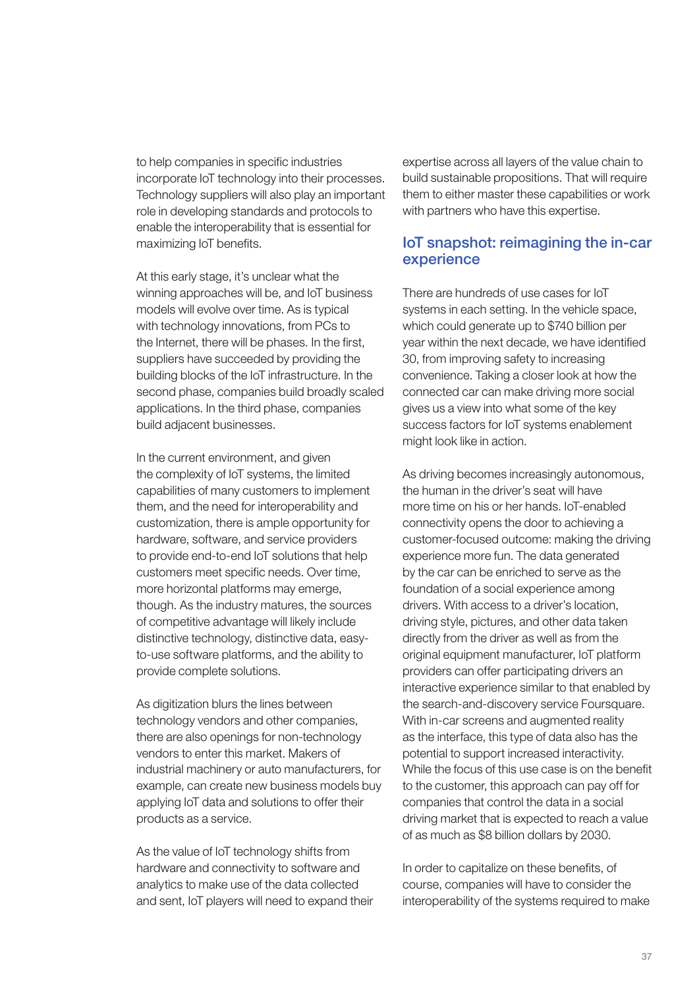to help companies in specific industries incorporate IoT technology into their processes. Technology suppliers will also play an important role in developing standards and protocols to enable the interoperability that is essential for maximizing IoT benefits.

At this early stage, it's unclear what the winning approaches will be, and IoT business models will evolve over time. As is typical with technology innovations, from PCs to the Internet, there will be phases. In the first, suppliers have succeeded by providing the building blocks of the IoT infrastructure. In the second phase, companies build broadly scaled applications. In the third phase, companies build adjacent businesses.

In the current environment, and given the complexity of IoT systems, the limited capabilities of many customers to implement them, and the need for interoperability and customization, there is ample opportunity for hardware, software, and service providers to provide end-to-end IoT solutions that help customers meet specific needs. Over time, more horizontal platforms may emerge, though. As the industry matures, the sources of competitive advantage will likely include distinctive technology, distinctive data, easyto-use software platforms, and the ability to provide complete solutions.

As digitization blurs the lines between technology vendors and other companies, there are also openings for non-technology vendors to enter this market. Makers of industrial machinery or auto manufacturers, for example, can create new business models buy applying IoT data and solutions to offer their products as a service.

As the value of IoT technology shifts from hardware and connectivity to software and analytics to make use of the data collected and sent, IoT players will need to expand their expertise across all layers of the value chain to build sustainable propositions. That will require them to either master these capabilities or work with partners who have this expertise.

## IoT snapshot: reimagining the in-car experience

There are hundreds of use cases for IoT systems in each setting. In the vehicle space, which could generate up to \$740 billion per year within the next decade, we have identified 30, from improving safety to increasing convenience. Taking a closer look at how the connected car can make driving more social gives us a view into what some of the key success factors for IoT systems enablement might look like in action.

As driving becomes increasingly autonomous, the human in the driver's seat will have more time on his or her hands. IoT-enabled connectivity opens the door to achieving a customer-focused outcome: making the driving experience more fun. The data generated by the car can be enriched to serve as the foundation of a social experience among drivers. With access to a driver's location, driving style, pictures, and other data taken directly from the driver as well as from the original equipment manufacturer, IoT platform providers can offer participating drivers an interactive experience similar to that enabled by the search-and-discovery service Foursquare. With in-car screens and augmented reality as the interface, this type of data also has the potential to support increased interactivity. While the focus of this use case is on the benefit to the customer, this approach can pay off for companies that control the data in a social driving market that is expected to reach a value of as much as \$8 billion dollars by 2030.

In order to capitalize on these benefits, of course, companies will have to consider the interoperability of the systems required to make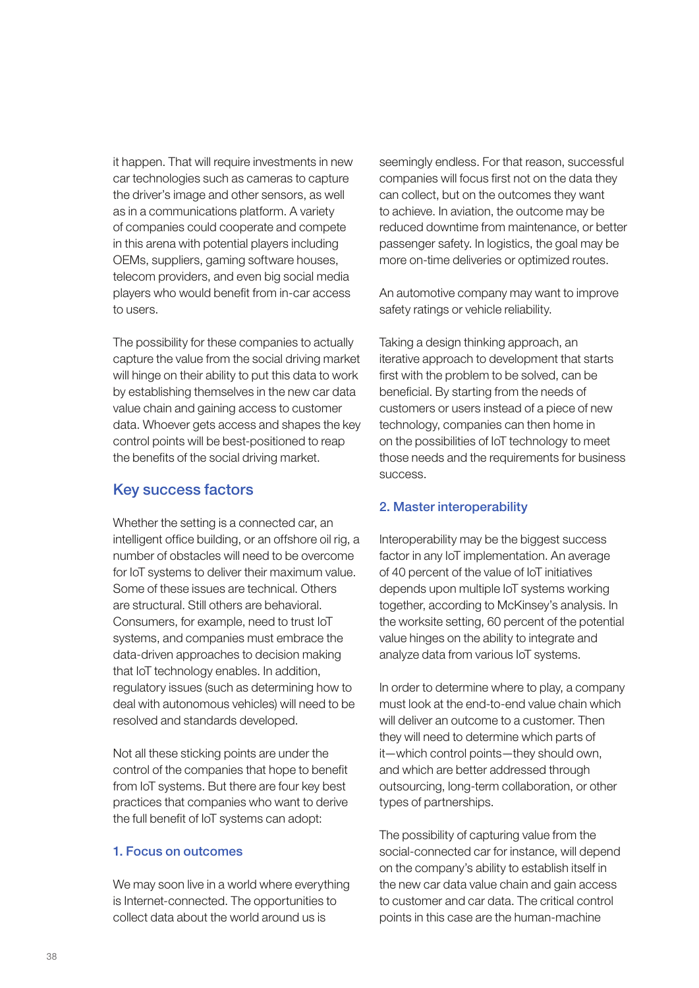it happen. That will require investments in new car technologies such as cameras to capture the driver's image and other sensors, as well as in a communications platform. A variety of companies could cooperate and compete in this arena with potential players including OEMs, suppliers, gaming software houses, telecom providers, and even big social media players who would benefit from in-car access to users.

The possibility for these companies to actually capture the value from the social driving market will hinge on their ability to put this data to work by establishing themselves in the new car data value chain and gaining access to customer data. Whoever gets access and shapes the key control points will be best-positioned to reap the benefits of the social driving market.

## Key success factors

Whether the setting is a connected car, an intelligent office building, or an offshore oil rig, a number of obstacles will need to be overcome for IoT systems to deliver their maximum value. Some of these issues are technical. Others are structural. Still others are behavioral. Consumers, for example, need to trust IoT systems, and companies must embrace the data-driven approaches to decision making that IoT technology enables. In addition, regulatory issues (such as determining how to deal with autonomous vehicles) will need to be resolved and standards developed.

Not all these sticking points are under the control of the companies that hope to benefit from IoT systems. But there are four key best practices that companies who want to derive the full benefit of IoT systems can adopt:

#### 1. Focus on outcomes

We may soon live in a world where everything is Internet-connected. The opportunities to collect data about the world around us is

seemingly endless. For that reason, successful companies will focus first not on the data they can collect, but on the outcomes they want to achieve. In aviation, the outcome may be reduced downtime from maintenance, or better passenger safety. In logistics, the goal may be more on-time deliveries or optimized routes.

An automotive company may want to improve safety ratings or vehicle reliability.

Taking a design thinking approach, an iterative approach to development that starts first with the problem to be solved, can be beneficial. By starting from the needs of customers or users instead of a piece of new technology, companies can then home in on the possibilities of IoT technology to meet those needs and the requirements for business success.

#### 2. Master interoperability

Interoperability may be the biggest success factor in any IoT implementation. An average of 40 percent of the value of IoT initiatives depends upon multiple IoT systems working together, according to McKinsey's analysis. In the worksite setting, 60 percent of the potential value hinges on the ability to integrate and analyze data from various IoT systems.

In order to determine where to play, a company must look at the end-to-end value chain which will deliver an outcome to a customer. Then they will need to determine which parts of it—which control points—they should own, and which are better addressed through outsourcing, long-term collaboration, or other types of partnerships.

The possibility of capturing value from the social-connected car for instance, will depend on the company's ability to establish itself in the new car data value chain and gain access to customer and car data. The critical control points in this case are the human-machine